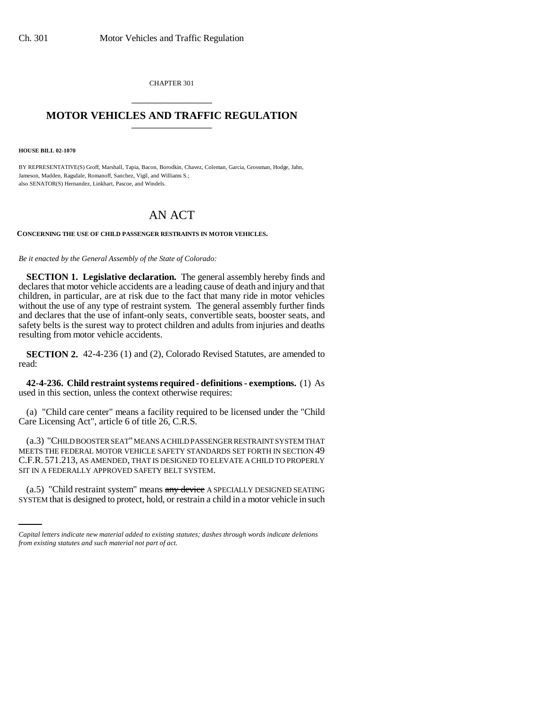CHAPTER 301 \_\_\_\_\_\_\_\_\_\_\_\_\_\_\_

## **MOTOR VEHICLES AND TRAFFIC REGULATION** \_\_\_\_\_\_\_\_\_\_\_\_\_\_\_

**HOUSE BILL 02-1070**

BY REPRESENTATIVE(S) Groff, Marshall, Tapia, Bacon, Borodkin, Chavez, Coleman, Garcia, Grossman, Hodge, Jahn, Jameson, Madden, Ragsdale, Romanoff, Sanchez, Vigil, and Williams S.; also SENATOR(S) Hernandez, Linkhart, Pascoe, and Windels.

## AN ACT

## **CONCERNING THE USE OF CHILD PASSENGER RESTRAINTS IN MOTOR VEHICLES.**

*Be it enacted by the General Assembly of the State of Colorado:*

**SECTION 1. Legislative declaration.** The general assembly hereby finds and declares that motor vehicle accidents are a leading cause of death and injury and that children, in particular, are at risk due to the fact that many ride in motor vehicles without the use of any type of restraint system. The general assembly further finds and declares that the use of infant-only seats, convertible seats, booster seats, and safety belts is the surest way to protect children and adults from injuries and deaths resulting from motor vehicle accidents.

**SECTION 2.** 42-4-236 (1) and (2), Colorado Revised Statutes, are amended to read:

**42-4-236. Child restraint systems required - definitions - exemptions.** (1) As used in this section, unless the context otherwise requires:

(a) "Child care center" means a facility required to be licensed under the "Child Care Licensing Act", article 6 of title 26, C.R.S.

(a.3) "CHILD BOOSTER SEAT" MEANS A CHILD PASSENGER RESTRAINT SYSTEM THAT MEETS THE FEDERAL MOTOR VEHICLE SAFETY STANDARDS SET FORTH IN SECTION 49 C.F.R. 571.213, AS AMENDED, THAT IS DESIGNED TO ELEVATE A CHILD TO PROPERLY SIT IN A FEDERALLY APPROVED SAFETY BELT SYSTEM.

(a.5) "Child restraint system" means any device A SPECIALLY DESIGNED SEATING SYSTEM that is designed to protect, hold, or restrain a child in a motor vehicle in such

*Capital letters indicate new material added to existing statutes; dashes through words indicate deletions from existing statutes and such material not part of act.*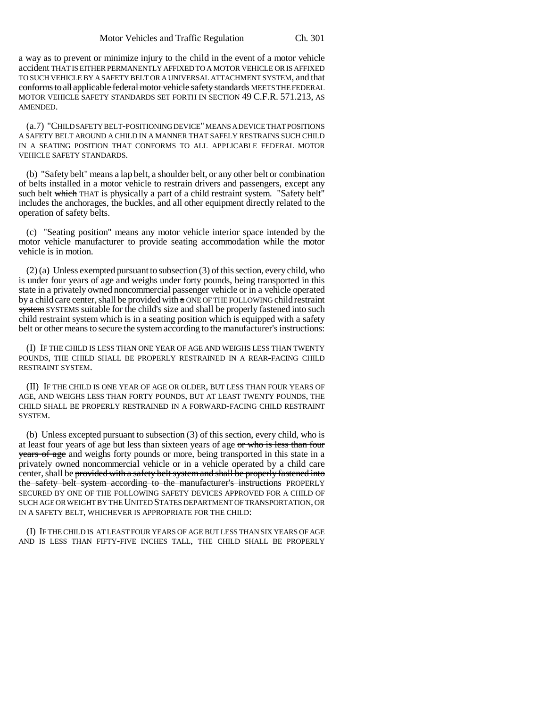a way as to prevent or minimize injury to the child in the event of a motor vehicle accident THAT IS EITHER PERMANENTLY AFFIXED TO A MOTOR VEHICLE OR IS AFFIXED TO SUCH VEHICLE BY A SAFETY BELT OR A UNIVERSAL ATTACHMENT SYSTEM, and that conforms to all applicable federal motor vehicle safety standards MEETS THE FEDERAL MOTOR VEHICLE SAFETY STANDARDS SET FORTH IN SECTION 49 C.F.R. 571.213, AS AMENDED.

(a.7) "CHILD SAFETY BELT-POSITIONING DEVICE" MEANS A DEVICE THAT POSITIONS A SAFETY BELT AROUND A CHILD IN A MANNER THAT SAFELY RESTRAINS SUCH CHILD IN A SEATING POSITION THAT CONFORMS TO ALL APPLICABLE FEDERAL MOTOR VEHICLE SAFETY STANDARDS.

(b) "Safety belt" means a lap belt, a shoulder belt, or any other belt or combination of belts installed in a motor vehicle to restrain drivers and passengers, except any such belt which THAT is physically a part of a child restraint system. "Safety belt" includes the anchorages, the buckles, and all other equipment directly related to the operation of safety belts.

(c) "Seating position" means any motor vehicle interior space intended by the motor vehicle manufacturer to provide seating accommodation while the motor vehicle is in motion.

(2) (a) Unless exempted pursuant to subsection (3) of this section, every child, who is under four years of age and weighs under forty pounds, being transported in this state in a privately owned noncommercial passenger vehicle or in a vehicle operated by a child care center, shall be provided with a ONE OF THE FOLLOWING child restraint system SYSTEMS suitable for the child's size and shall be properly fastened into such child restraint system which is in a seating position which is equipped with a safety belt or other means to secure the system according to the manufacturer's instructions:

(I) IF THE CHILD IS LESS THAN ONE YEAR OF AGE AND WEIGHS LESS THAN TWENTY POUNDS, THE CHILD SHALL BE PROPERLY RESTRAINED IN A REAR-FACING CHILD RESTRAINT SYSTEM.

(II) IF THE CHILD IS ONE YEAR OF AGE OR OLDER, BUT LESS THAN FOUR YEARS OF AGE, AND WEIGHS LESS THAN FORTY POUNDS, BUT AT LEAST TWENTY POUNDS, THE CHILD SHALL BE PROPERLY RESTRAINED IN A FORWARD-FACING CHILD RESTRAINT SYSTEM.

(b) Unless excepted pursuant to subsection (3) of this section, every child, who is at least four years of age but less than sixteen years of age or who is less than four years of age and weighs forty pounds or more, being transported in this state in a privately owned noncommercial vehicle or in a vehicle operated by a child care center, shall be provided with a safety belt system and shall be properly fastened into the safety belt system according to the manufacturer's instructions PROPERLY SECURED BY ONE OF THE FOLLOWING SAFETY DEVICES APPROVED FOR A CHILD OF SUCH AGE OR WEIGHT BY THE UNITED STATES DEPARTMENT OF TRANSPORTATION, OR IN A SAFETY BELT, WHICHEVER IS APPROPRIATE FOR THE CHILD:

(I) IF THE CHILD IS AT LEAST FOUR YEARS OF AGE BUT LESS THAN SIX YEARS OF AGE AND IS LESS THAN FIFTY-FIVE INCHES TALL, THE CHILD SHALL BE PROPERLY